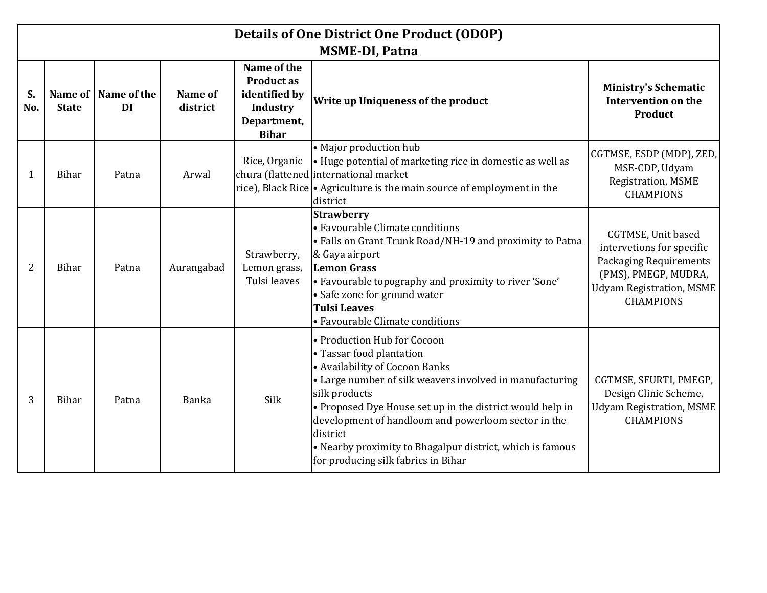|           | <b>Details of One District One Product (ODOP)</b><br><b>MSME-DI, Patna</b> |                             |                     |                                                                                                     |                                                                                                                                                                                                                                                                                                                                                                                                            |                                                                                                                                                          |  |  |
|-----------|----------------------------------------------------------------------------|-----------------------------|---------------------|-----------------------------------------------------------------------------------------------------|------------------------------------------------------------------------------------------------------------------------------------------------------------------------------------------------------------------------------------------------------------------------------------------------------------------------------------------------------------------------------------------------------------|----------------------------------------------------------------------------------------------------------------------------------------------------------|--|--|
| S.<br>No. | <b>State</b>                                                               | Name of   Name of the<br>DI | Name of<br>district | Name of the<br><b>Product as</b><br>identified by<br><b>Industry</b><br>Department,<br><b>Bihar</b> | Write up Uniqueness of the product                                                                                                                                                                                                                                                                                                                                                                         | <b>Ministry's Schematic</b><br><b>Intervention on the</b><br>Product                                                                                     |  |  |
| 1         | Bihar                                                                      | Patna                       | Arwal               | Rice, Organic                                                                                       | • Major production hub<br>• Huge potential of marketing rice in domestic as well as<br>chura (flattened international market<br>rice), Black Rice • Agriculture is the main source of employment in the<br>district                                                                                                                                                                                        | CGTMSE, ESDP (MDP), ZED,<br>MSE-CDP, Udyam<br>Registration, MSME<br><b>CHAMPIONS</b>                                                                     |  |  |
| 2         | Bihar                                                                      | Patna                       | Aurangabad          | Strawberry,<br>Lemon grass,<br>Tulsi leaves                                                         | <b>Strawberry</b><br>• Favourable Climate conditions<br>• Falls on Grant Trunk Road/NH-19 and proximity to Patna<br>& Gaya airport<br><b>Lemon Grass</b><br>• Favourable topography and proximity to river 'Sone'<br>• Safe zone for ground water<br><b>Tulsi Leaves</b><br>• Favourable Climate conditions                                                                                                | CGTMSE, Unit based<br>intervetions for specific<br><b>Packaging Requirements</b><br>(PMS), PMEGP, MUDRA,<br>Udyam Registration, MSME<br><b>CHAMPIONS</b> |  |  |
| 3         | <b>Bihar</b>                                                               | Patna                       | Banka               | Silk                                                                                                | • Production Hub for Cocoon<br>• Tassar food plantation<br>• Availability of Cocoon Banks<br>• Large number of silk weavers involved in manufacturing<br>silk products<br>• Proposed Dye House set up in the district would help in<br>development of handloom and powerloom sector in the<br>district<br>• Nearby proximity to Bhagalpur district, which is famous<br>for producing silk fabrics in Bihar | CGTMSE, SFURTI, PMEGP,<br>Design Clinic Scheme,<br><b>Udyam Registration, MSME</b><br><b>CHAMPIONS</b>                                                   |  |  |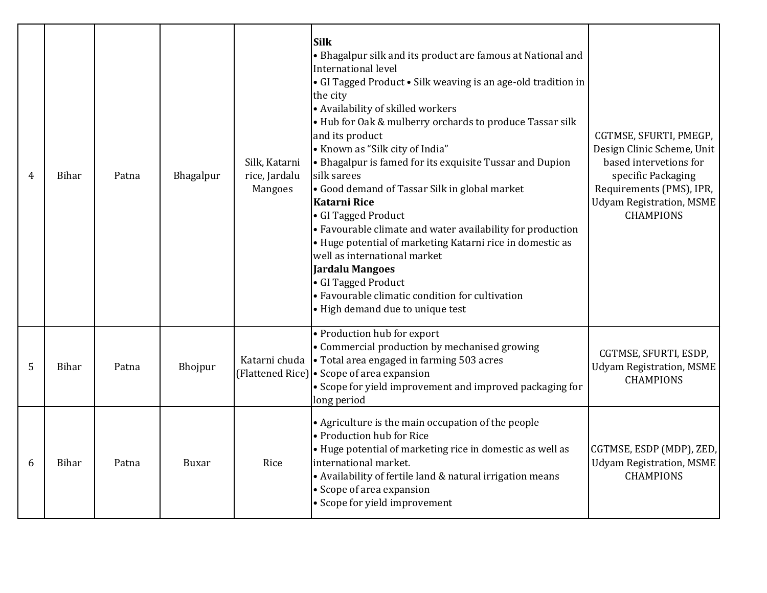| 4 | Bihar        | Patna | Bhagalpur | Silk, Katarni<br>rice, Jardalu<br>Mangoes | <b>Silk</b><br>• Bhagalpur silk and its product are famous at National and<br>International level<br>• GI Tagged Product • Silk weaving is an age-old tradition in<br>the city<br>• Availability of skilled workers<br>• Hub for Oak & mulberry orchards to produce Tassar silk<br>and its product<br>• Known as "Silk city of India"<br>• Bhagalpur is famed for its exquisite Tussar and Dupion<br>silk sarees<br>• Good demand of Tassar Silk in global market<br><b>Katarni Rice</b><br>• GI Tagged Product<br>• Favourable climate and water availability for production<br>• Huge potential of marketing Katarni rice in domestic as<br>well as international market<br><b>Jardalu Mangoes</b><br>• GI Tagged Product<br>• Favourable climatic condition for cultivation<br>• High demand due to unique test | CGTMSE, SFURTI, PMEGP,<br>Design Clinic Scheme, Unit<br>based intervetions for<br>specific Packaging<br>Requirements (PMS), IPR,<br>Udyam Registration, MSME<br><b>CHAMPIONS</b> |
|---|--------------|-------|-----------|-------------------------------------------|--------------------------------------------------------------------------------------------------------------------------------------------------------------------------------------------------------------------------------------------------------------------------------------------------------------------------------------------------------------------------------------------------------------------------------------------------------------------------------------------------------------------------------------------------------------------------------------------------------------------------------------------------------------------------------------------------------------------------------------------------------------------------------------------------------------------|----------------------------------------------------------------------------------------------------------------------------------------------------------------------------------|
| 5 | Bihar        | Patna | Bhojpur   | Katarni chuda                             | • Production hub for export<br>• Commercial production by mechanised growing<br>$\cdot$ Total area engaged in farming 503 acres<br>(Flattened Rice) $\cdot$ Scope of area expansion<br>• Scope for yield improvement and improved packaging for<br>long period                                                                                                                                                                                                                                                                                                                                                                                                                                                                                                                                                     | CGTMSE, SFURTI, ESDP,<br><b>Udyam Registration, MSME</b><br><b>CHAMPIONS</b>                                                                                                     |
| 6 | <b>Bihar</b> | Patna | Buxar     | Rice                                      | • Agriculture is the main occupation of the people<br>• Production hub for Rice<br>• Huge potential of marketing rice in domestic as well as<br>international market.<br>• Availability of fertile land & natural irrigation means<br>• Scope of area expansion<br>• Scope for yield improvement                                                                                                                                                                                                                                                                                                                                                                                                                                                                                                                   | CGTMSE, ESDP (MDP), ZED,<br><b>Udyam Registration, MSME</b><br><b>CHAMPIONS</b>                                                                                                  |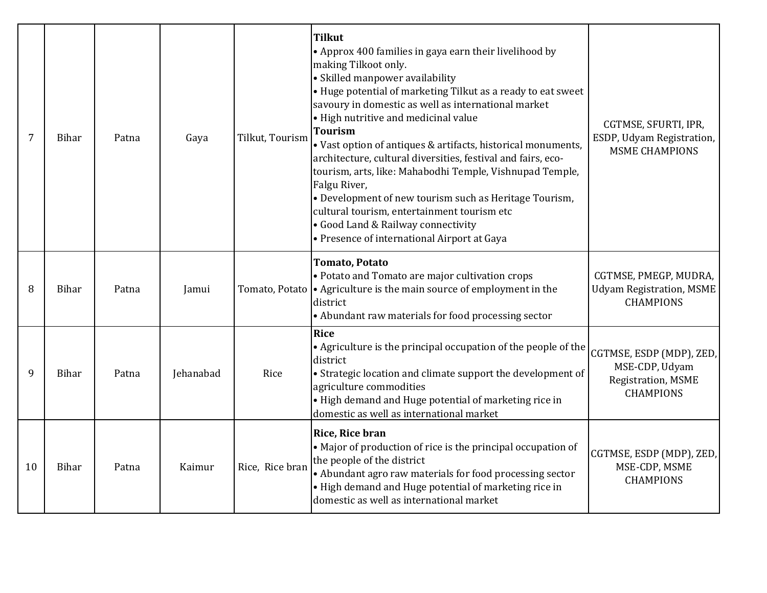| 7  | Bihar | Patna | Gaya      | Tilkut, Tourism | <b>Tilkut</b><br>• Approx 400 families in gaya earn their livelihood by<br>making Tilkoot only.<br>• Skilled manpower availability<br>• Huge potential of marketing Tilkut as a ready to eat sweet<br>savoury in domestic as well as international market<br>• High nutritive and medicinal value<br><b>Tourism</b><br>• Vast option of antiques & artifacts, historical monuments,<br>architecture, cultural diversities, festival and fairs, eco-<br>tourism, arts, like: Mahabodhi Temple, Vishnupad Temple,<br>Falgu River,<br>• Development of new tourism such as Heritage Tourism,<br>cultural tourism, entertainment tourism etc<br>• Good Land & Railway connectivity<br>• Presence of international Airport at Gaya | CGTMSE, SFURTI, IPR,<br>ESDP, Udyam Registration,<br><b>MSME CHAMPIONS</b>           |
|----|-------|-------|-----------|-----------------|-------------------------------------------------------------------------------------------------------------------------------------------------------------------------------------------------------------------------------------------------------------------------------------------------------------------------------------------------------------------------------------------------------------------------------------------------------------------------------------------------------------------------------------------------------------------------------------------------------------------------------------------------------------------------------------------------------------------------------|--------------------------------------------------------------------------------------|
| 8  | Bihar | Patna | Jamui     |                 | <b>Tomato, Potato</b><br>• Potato and Tomato are major cultivation crops<br>Tomato, Potato   • Agriculture is the main source of employment in the<br>district<br>• Abundant raw materials for food processing sector                                                                                                                                                                                                                                                                                                                                                                                                                                                                                                         | CGTMSE, PMEGP, MUDRA,<br><b>Udyam Registration, MSME</b><br><b>CHAMPIONS</b>         |
| 9  | Bihar | Patna | Jehanabad | Rice            | Rice<br>• Agriculture is the principal occupation of the people of the<br>district<br>• Strategic location and climate support the development of<br>agriculture commodities<br>• High demand and Huge potential of marketing rice in<br>domestic as well as international market                                                                                                                                                                                                                                                                                                                                                                                                                                             | CGTMSE, ESDP (MDP), ZED,<br>MSE-CDP, Udyam<br>Registration, MSME<br><b>CHAMPIONS</b> |
| 10 | Bihar | Patna | Kaimur    | Rice, Rice bran | <b>Rice, Rice bran</b><br>• Major of production of rice is the principal occupation of<br>the people of the district<br>• Abundant agro raw materials for food processing sector<br>• High demand and Huge potential of marketing rice in<br>domestic as well as international market                                                                                                                                                                                                                                                                                                                                                                                                                                         | CGTMSE, ESDP (MDP), ZED,<br>MSE-CDP, MSME<br><b>CHAMPIONS</b>                        |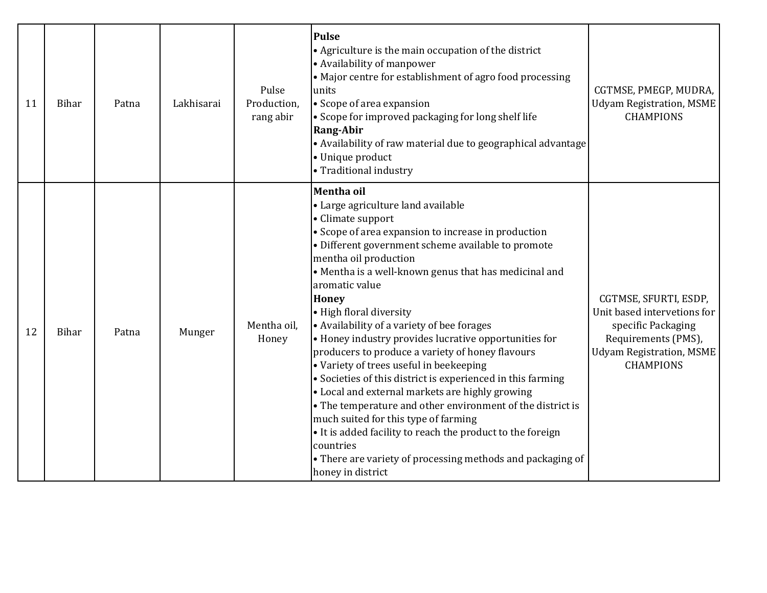| 11 | Bihar        | Patna | Lakhisarai | Pulse<br>Production,<br>rang abir | <b>Pulse</b><br>• Agriculture is the main occupation of the district<br>• Availability of manpower<br>• Major centre for establishment of agro food processing<br>units<br>• Scope of area expansion<br>• Scope for improved packaging for long shelf life<br><b>Rang-Abir</b><br>• Availability of raw material due to geographical advantage<br>• Unique product<br>• Traditional industry                                                                                                                                                                                                                                                                                                                                                                                                                                                                                                                                  | CGTMSE, PMEGP, MUDRA,<br>Udyam Registration, MSME<br><b>CHAMPIONS</b>                                                                                    |
|----|--------------|-------|------------|-----------------------------------|-------------------------------------------------------------------------------------------------------------------------------------------------------------------------------------------------------------------------------------------------------------------------------------------------------------------------------------------------------------------------------------------------------------------------------------------------------------------------------------------------------------------------------------------------------------------------------------------------------------------------------------------------------------------------------------------------------------------------------------------------------------------------------------------------------------------------------------------------------------------------------------------------------------------------------|----------------------------------------------------------------------------------------------------------------------------------------------------------|
| 12 | <b>Bihar</b> | Patna | Munger     | Mentha oil,<br>Honey              | Mentha oil<br>• Large agriculture land available<br>• Climate support<br>• Scope of area expansion to increase in production<br>• Different government scheme available to promote<br>mentha oil production<br>• Mentha is a well-known genus that has medicinal and<br>aromatic value<br><b>Honey</b><br>• High floral diversity<br>• Availability of a variety of bee forages<br>• Honey industry provides lucrative opportunities for<br>producers to produce a variety of honey flavours<br>• Variety of trees useful in beekeeping<br>• Societies of this district is experienced in this farming<br>• Local and external markets are highly growing<br>• The temperature and other environment of the district is<br>much suited for this type of farming<br>• It is added facility to reach the product to the foreign<br>countries<br>• There are variety of processing methods and packaging of<br>honey in district | CGTMSE, SFURTI, ESDP,<br>Unit based intervetions for<br>specific Packaging<br>Requirements (PMS),<br><b>Udyam Registration, MSME</b><br><b>CHAMPIONS</b> |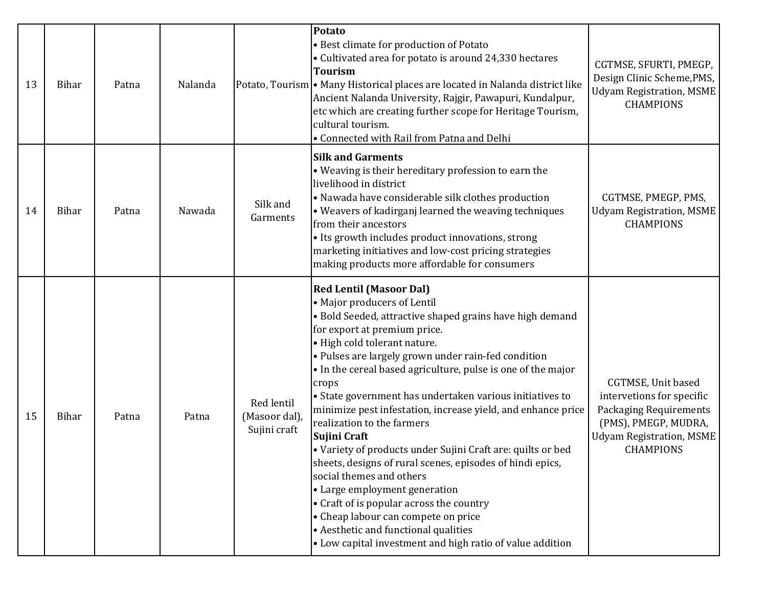| 13 | <b>Bihar</b> | Patna | Nalanda |                                             | Potato<br>• Best climate for production of Potato<br>• Cultivated area for potato is around 24,330 hectares<br><b>Tourism</b><br>Potato, Tourism • Many Historical places are located in Nalanda district like<br>Ancient Nalanda University, Rajgir, Pawapuri, Kundalpur,<br>etc which are creating further scope for Heritage Tourism,<br>cultural tourism.<br>• Connected with Rail from Patna and Delhi                                                                                                                                                                                                                                                                                                                                                                                                                                                                          | CGTMSE, SFURTI, PMEGP,<br>Design Clinic Scheme, PMS,<br><b>Udyam Registration, MSME</b><br><b>CHAMPIONS</b>                                              |
|----|--------------|-------|---------|---------------------------------------------|--------------------------------------------------------------------------------------------------------------------------------------------------------------------------------------------------------------------------------------------------------------------------------------------------------------------------------------------------------------------------------------------------------------------------------------------------------------------------------------------------------------------------------------------------------------------------------------------------------------------------------------------------------------------------------------------------------------------------------------------------------------------------------------------------------------------------------------------------------------------------------------|----------------------------------------------------------------------------------------------------------------------------------------------------------|
| 14 | <b>Bihar</b> | Patna | Nawada  | Silk and<br>Garments                        | <b>Silk and Garments</b><br>• Weaving is their hereditary profession to earn the<br>livelihood in district<br>• Nawada have considerable silk clothes production<br>• Weavers of kadirganj learned the weaving techniques<br>from their ancestors<br>· Its growth includes product innovations, strong<br>marketing initiatives and low-cost pricing strategies<br>making products more affordable for consumers                                                                                                                                                                                                                                                                                                                                                                                                                                                                     | CGTMSE, PMEGP, PMS,<br><b>Udyam Registration, MSME</b><br><b>CHAMPIONS</b>                                                                               |
| 15 | <b>Bihar</b> | Patna | Patna   | Red lentil<br>(Masoor dal),<br>Sujini craft | <b>Red Lentil (Masoor Dal)</b><br>• Major producers of Lentil<br>• Bold Seeded, attractive shaped grains have high demand<br>for export at premium price.<br>• High cold tolerant nature.<br>• Pulses are largely grown under rain-fed condition<br>. In the cereal based agriculture, pulse is one of the major<br>crops<br>• State government has undertaken various initiatives to<br>minimize pest infestation, increase yield, and enhance price<br>realization to the farmers<br>Sujini Craft<br>• Variety of products under Sujini Craft are: quilts or bed<br>sheets, designs of rural scenes, episodes of hindi epics,<br>social themes and others<br>• Large employment generation<br>• Craft of is popular across the country<br>• Cheap labour can compete on price<br>• Aesthetic and functional qualities<br>• Low capital investment and high ratio of value addition | CGTMSE, Unit based<br>intervetions for specific<br><b>Packaging Requirements</b><br>(PMS), PMEGP, MUDRA,<br>Udyam Registration, MSME<br><b>CHAMPIONS</b> |